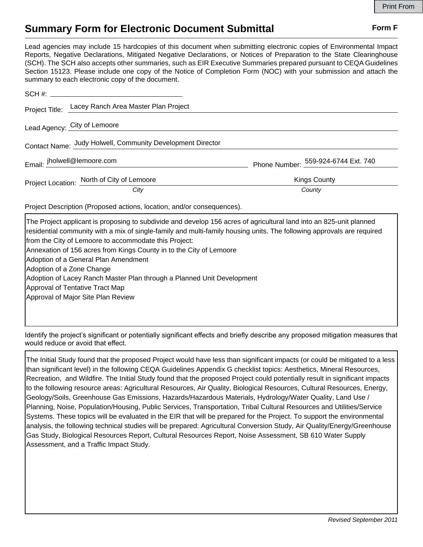## **Summary Form for Electronic Document Submittal Form F Form F**

Lead agencies may include 15 hardcopies of this document when submitting electronic copies of Environmental Impact Reports, Negative Declarations, Mitigated Negative Declarations, or Notices of Preparation to the State Clearinghouse (SCH). The SCH also accepts other summaries, such as EIR Executive Summaries prepared pursuant to CEQA Guidelines Section 15123. Please include one copy of the Notice of Completion Form (NOC) with your submission and attach the summary to each electronic copy of the document.

|                             | Project Title: Lacey Ranch Area Master Plan Project        |                                     |
|-----------------------------|------------------------------------------------------------|-------------------------------------|
|                             | Lead Agency: City of Lemoore                               |                                     |
|                             | Contact Name: Judy Holwell, Community Development Director |                                     |
| Email: jholwell@lemoore.com |                                                            | Phone Number: 559-924-6744 Ext. 740 |
|                             | Project Location: North of City of Lemoore                 | <b>Kings County</b>                 |
|                             | City                                                       | County                              |

Project Description (Proposed actions, location, and/or consequences).

| The Project applicant is proposing to subdivide and develop 156 acres of agricultural land into an 825-unit planned    |
|------------------------------------------------------------------------------------------------------------------------|
| residential community with a mix of single-family and multi-family housing units. The following approvals are required |
| from the City of Lemoore to accommodate this Project:                                                                  |
| Annexation of 156 acres from Kings County in to the City of Lemoore                                                    |
| Adoption of a General Plan Amendment                                                                                   |
| Adoption of a Zone Change                                                                                              |
| Adoption of Lacey Ranch Master Plan through a Planned Unit Development                                                 |
| Approval of Tentative Tract Map                                                                                        |
| Approval of Major Site Plan Review                                                                                     |
|                                                                                                                        |
|                                                                                                                        |

Identify the project's significant or potentially significant effects and briefly describe any proposed mitigation measures that would reduce or avoid that effect.

The Initial Study found that the proposed Project would have less than significant impacts (or could be mitigated to a less than significant level) in the following CEQA Guidelines Appendix G checklist topics: Aesthetics, Mineral Resources, Recreation, and Wildfire. The Initial Study found that the proposed Project could potentially result in significant impacts to the following resource areas: Agricultural Resources, Air Quality, Biological Resources, Cultural Resources, Energy, Geology/Soils, Greenhouse Gas Emissions, Hazards/Hazardous Materials, Hydrology/Water Quality, Land Use / Planning, Noise, Population/Housing, Public Services, Transportation, Tribal Cultural Resources and Utilities/Service Systems. These topics will be evaluated in the EIR that will be prepared for the Project. To support the environmental analysis, the following technical studies will be prepared: Agricultural Conversion Study, Air Quality/Energy/Greenhouse Gas Study, Biological Resources Report, Cultural Resources Report, Noise Assessment, SB 610 Water Supply Assessment, and a Traffic Impact Study.